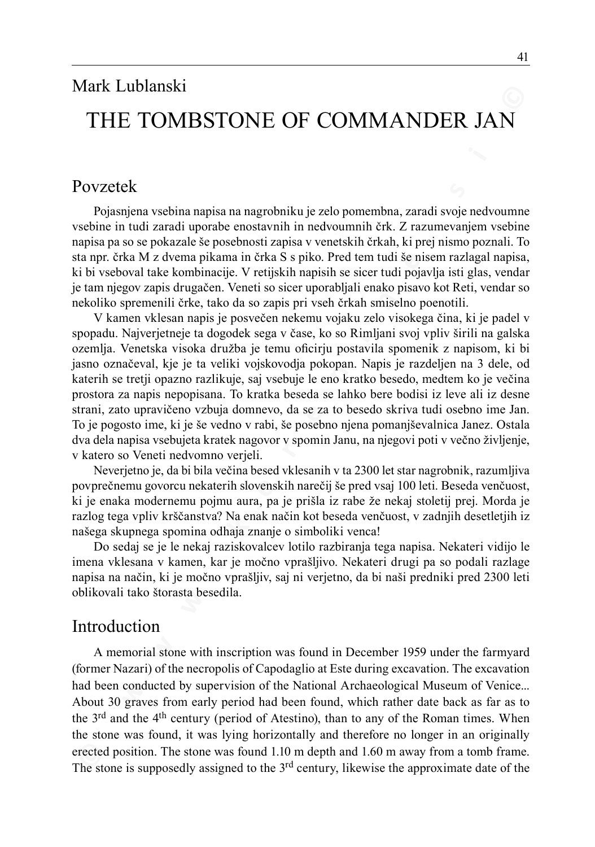# THE TOMBSTONE OF COMMANDER JAN

### Povzetek

Pojasnjena vsebina napisa na nagrobniku je zelo pomembna, zaradi svoje nedvoumne vsebine in tudi zaradi uporabe enostavnih in nedvoumnih črk. Z razumevanjem vsebine napisa pa so se pokazale še posebnosti zapisa v venetskih črkah, ki prej nismo poznali. To sta npr. črka M z dvema pikama in črka S s piko. Pred tem tudi še nisem razlagal napisa, ki bi vseboval take kombinacije. V retijskih napisih se sicer tudi pojavlja isti glas, vendar je tam njegov zapis drugačen. Veneti so sicer uporabljali enako pisavo kot Reti, vendar so nekoliko spremenili črke, tako da so zapis pri vseh črkah smiselno poenotili.

**THE TOMBSTONE OF COMMANDER JAN**<br> **COMMANDER PROPORATION COVERC**<br> **P** COMMANDER COMMANDER CONTINENT (SEE TO COMMANDER COMMANDER CONTINUES)<br>
Proposition in tudi zeradi uppress a magnothila in exclusion the state and swep ne V kamen vklesan napis je posvečen nekemu vojaku zelo visokega čina, ki je padel v spopadu. Najverjetneje ta dogodek sega v čase, ko so Rimljani svoj vpliv širili na galska ozemlja. Venetska visoka družba je temu oficirju postavila spomenik z napisom, ki bi jasno označeval, kje je ta veliki vojskovodja pokopan. Napis je razdeljen na 3 dele, od katerih se tretji opazno razlikuje, saj vsebuje le eno kratko besedo, medtem ko je večina prostora za napis nepopisana. To kratka beseda se lahko bere bodisi iz leve ali iz desne strani, zato upravičeno vzbuja domnevo, da se za to besedo skriva tudi osebno ime Jan. To je pogosto ime, ki je še vedno v rabi, še posebno njena pomanjševalnica Janez. Ostala dva dela napisa vsebujeta kratek nagovor v spomin Janu, na njegovi poti v večno življenje, v katero so Veneti nedvomno verjeli.

Neverjetno je, da bi bila večina besed vklesanih v ta 2300 let star nagrobnik, razumljiva povprečnemu govorcu nekaterih slovenskih narečij še pred vsaj 100 leti. Beseda venčuost, ki je enaka modernemu pojmu aura, pa je prišla iz rabe že nekaj stoletij prej. Morda je razlog tega vpliv krščanstva? Na enak način kot beseda venčuost, v zadnjih desetletjih iz našega skupnega spomina odhaja znanje o simboliki venca!

Do sedaj se je le nekaj raziskovalcev lotilo razbiranja tega napisa. Nekateri vidijo le imena vklesana v kamen, kar je močno vprašljivo. Nekateri drugi pa so podali razlage napisa na način, ki je močno vprašljiv, saj ni verjetno, da bi naši predniki pred 2300 leti oblikovali tako štorasta besedila.

### Introduction

A memorial stone with inscription was found in December 1959 under the farmyard (former Nazari) of the necropolis of Capodaglio at Este during excavation. The excavation had been conducted by supervision of the National Archaeological Museum of Venice... About 30 graves from early period had been found, which rather date back as far as to the 3rd and the 4th century (period of Atestino), than to any of the Roman times. When the stone was found, it was lying horizontally and therefore no longer in an originally erected position. The stone was found 1.10 m depth and 1.60 m away from а tomb frame. The stone is supposedly assigned to the  $3<sup>rd</sup>$  century, likewise the approximate date of the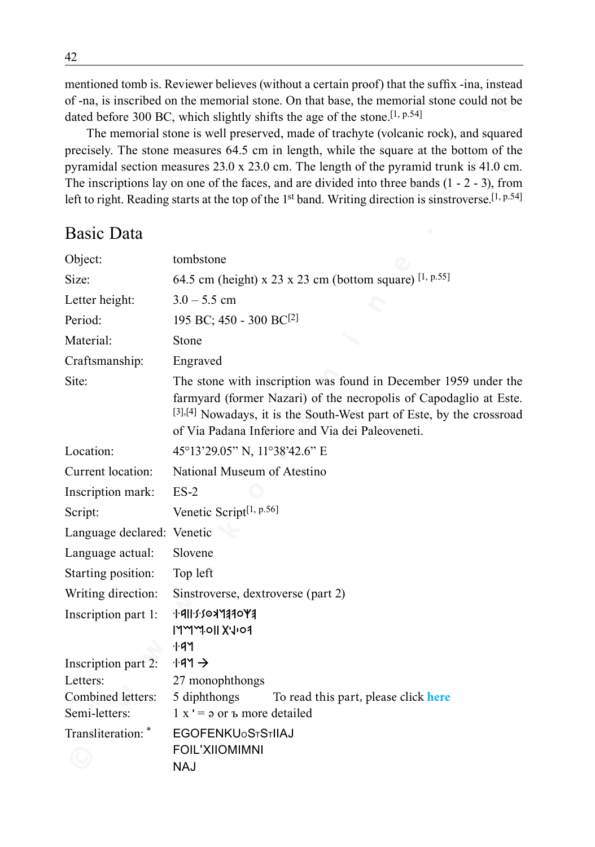mentioned tomb is. Reviewer believes (without a certain proof) that the suffix -inа, instead of -na, is inscribed on the memorial stone. On that base, the memorial stone could not be dated before 300 BC, which slightly shifts the age of the stone.<sup>[1, p.54]</sup>

### Basic Data

|                                                                                                                                                                                                                                                                                                                                                                                                                                                                                                                    | of -na, is inscribed on the memorial stone. On that base, the memorial stone could not be<br>dated before 300 BC, which slightly shifts the age of the stone. <sup>[1, p.54]</sup>                                                                                  |  |  |
|--------------------------------------------------------------------------------------------------------------------------------------------------------------------------------------------------------------------------------------------------------------------------------------------------------------------------------------------------------------------------------------------------------------------------------------------------------------------------------------------------------------------|---------------------------------------------------------------------------------------------------------------------------------------------------------------------------------------------------------------------------------------------------------------------|--|--|
| The memorial stone is well preserved, made of trachyte (volcanic rock), and squared<br>precisely. The stone measures 64.5 cm in length, while the square at the bottom of the<br>pyramidal section measures $23.0 \times 23.0$ cm. The length of the pyramid trunk is 41.0 cm.<br>The inscriptions lay on one of the faces, and are divided into three bands $(1 - 2 - 3)$ , from<br>left to right. Reading starts at the top of the 1 <sup>st</sup> band. Writing direction is sinstroverse. <sup>[1, p.54]</sup> |                                                                                                                                                                                                                                                                     |  |  |
| <b>Basic Data</b>                                                                                                                                                                                                                                                                                                                                                                                                                                                                                                  |                                                                                                                                                                                                                                                                     |  |  |
| Object:                                                                                                                                                                                                                                                                                                                                                                                                                                                                                                            | tombstone                                                                                                                                                                                                                                                           |  |  |
| Size:                                                                                                                                                                                                                                                                                                                                                                                                                                                                                                              | 64.5 cm (height) x 23 x 23 cm (bottom square) [1, p.55]                                                                                                                                                                                                             |  |  |
| Letter height:                                                                                                                                                                                                                                                                                                                                                                                                                                                                                                     | $3.0 - 5.5$ cm                                                                                                                                                                                                                                                      |  |  |
| Period:                                                                                                                                                                                                                                                                                                                                                                                                                                                                                                            | 195 BC; 450 - 300 BC <sup>[2]</sup>                                                                                                                                                                                                                                 |  |  |
| Material:                                                                                                                                                                                                                                                                                                                                                                                                                                                                                                          | Stone                                                                                                                                                                                                                                                               |  |  |
| Craftsmanship:                                                                                                                                                                                                                                                                                                                                                                                                                                                                                                     | Engraved                                                                                                                                                                                                                                                            |  |  |
| Site:                                                                                                                                                                                                                                                                                                                                                                                                                                                                                                              | The stone with inscription was found in December 1959 under the<br>farmyard (former Nazari) of the necropolis of Capodaglio at Este.<br>$[3],[4]$ Nowadays, it is the South-West part of Este, by the crossroad<br>of Via Padana Inferiore and Via dei Paleoveneti. |  |  |
| Location:                                                                                                                                                                                                                                                                                                                                                                                                                                                                                                          | 45°13'29.05" N, 11°38'42.6" E                                                                                                                                                                                                                                       |  |  |
| Current location:                                                                                                                                                                                                                                                                                                                                                                                                                                                                                                  | National Museum of Atestino                                                                                                                                                                                                                                         |  |  |
| Inscription mark:                                                                                                                                                                                                                                                                                                                                                                                                                                                                                                  | $ES-2$                                                                                                                                                                                                                                                              |  |  |
| Script:                                                                                                                                                                                                                                                                                                                                                                                                                                                                                                            | Venetic Script <sup>[1, p.56]</sup>                                                                                                                                                                                                                                 |  |  |
| Language declared: Venetic                                                                                                                                                                                                                                                                                                                                                                                                                                                                                         |                                                                                                                                                                                                                                                                     |  |  |
| Language actual:                                                                                                                                                                                                                                                                                                                                                                                                                                                                                                   | Slovene                                                                                                                                                                                                                                                             |  |  |
| Starting position:                                                                                                                                                                                                                                                                                                                                                                                                                                                                                                 | Top left                                                                                                                                                                                                                                                            |  |  |
| Writing direction:                                                                                                                                                                                                                                                                                                                                                                                                                                                                                                 | Sinstroverse, dextroverse (part 2)                                                                                                                                                                                                                                  |  |  |
| Inscription part 1:                                                                                                                                                                                                                                                                                                                                                                                                                                                                                                | 1.91155021990419974<br><b>MMMOII XV01</b><br>·1·97                                                                                                                                                                                                                  |  |  |
| Inscription part 2:                                                                                                                                                                                                                                                                                                                                                                                                                                                                                                | $+91 \rightarrow$                                                                                                                                                                                                                                                   |  |  |
| Letters:                                                                                                                                                                                                                                                                                                                                                                                                                                                                                                           | 27 monophthongs                                                                                                                                                                                                                                                     |  |  |
| Combined letters:<br>Semi-letters:                                                                                                                                                                                                                                                                                                                                                                                                                                                                                 | 5 diphthongs<br>To read this part, please click here<br>$1 x' = a$ or $\bar{b}$ more detailed                                                                                                                                                                       |  |  |
| Transliteration: *                                                                                                                                                                                                                                                                                                                                                                                                                                                                                                 | <b>EGOFENKUOSTSTIIAJ</b>                                                                                                                                                                                                                                            |  |  |
|                                                                                                                                                                                                                                                                                                                                                                                                                                                                                                                    | FOIL'XIIOMIMNI<br><b>NAJ</b>                                                                                                                                                                                                                                        |  |  |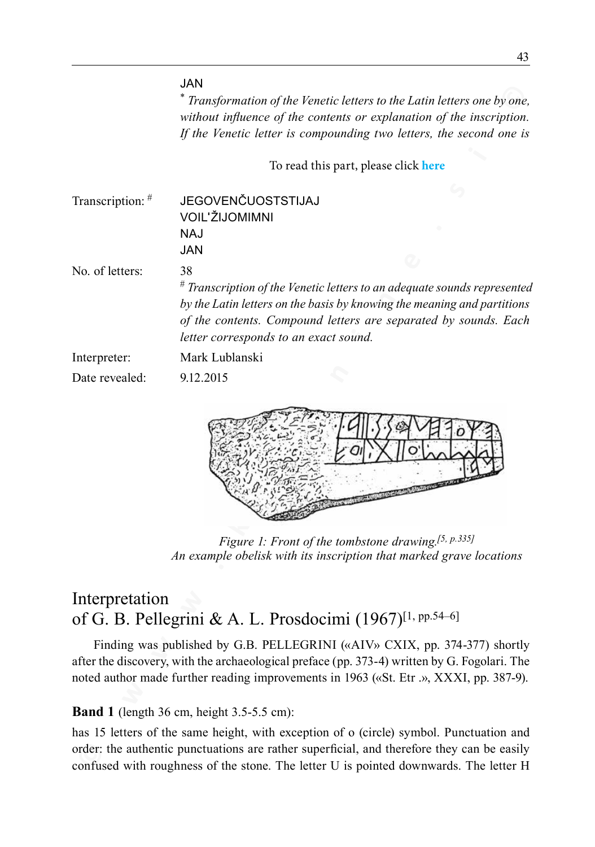|                  | <b>JAN</b><br>Transformation of the Venetic letters to the Latin letters one by one,<br>without influence of the contents or explanation of the inscription.<br>If the Venetic letter is compounding two letters, the second one is                                              |
|------------------|----------------------------------------------------------------------------------------------------------------------------------------------------------------------------------------------------------------------------------------------------------------------------------|
|                  | To read this part, please click here                                                                                                                                                                                                                                             |
| Transcription: # | JEGOVENČUOSTSTIJAJ<br>VOIL'ŽIJOMIMNI<br><b>NAJ</b><br><b>JAN</b>                                                                                                                                                                                                                 |
| No. of letters:  | 38<br># Transcription of the Venetic letters to an adequate sounds represented<br>by the Latin letters on the basis by knowing the meaning and partitions<br>of the contents. Compound letters are separated by sounds. Each<br>letter corresponds to an exact sound.            |
| Interpreter:     | Mark Lublanski                                                                                                                                                                                                                                                                   |
| Date revealed:   | 9.12.2015                                                                                                                                                                                                                                                                        |
|                  |                                                                                                                                                                                                                                                                                  |
|                  | Figure 1: Front of the tombstone drawing. <sup>[5, p.335]</sup><br>An example obelisk with its inscription that marked grave locations                                                                                                                                           |
| Interpretation   | of G. B. Pellegrini & A. L. Prosdocimi (1967) <sup>[1, pp.54-6]</sup>                                                                                                                                                                                                            |
|                  | Finding was published by G.B. PELLEGRINI («AIV» CXIX, pp. 374-377) shortly<br>after the discovery, with the archaeological preface (pp. 373-4) written by G. Fogolari. The<br>noted author made further reading improvements in 1963 («St. Etr.», XXXI, pp. 387-9).              |
|                  | <b>Band 1</b> (length 36 cm, height $3.5-5.5$ cm):                                                                                                                                                                                                                               |
|                  | has 15 letters of the same height, with exception of o (circle) symbol. Punctuation and<br>order: the authentic punctuations are rather superficial, and therefore they can be easily<br>confused with roughness of the stone. The letter U is pointed downwards. The letter $H$ |



*Figure 1: Front of the tombstone drawing.[5, p.335] An example obelisk with its inscription that marked grave locations*

## Interpretation of G. B. Pellegrini & A. L. Prosdocimi (1967)<sup>[1, pp.54-6]</sup>

#### **Band 1** (length 36 cm, height 3.5-5.5 cm):

has 15 letters of the same height, with exception of o (circle) symbol. Punctuation and order: the authentic punctuations are rather superficial, and therefore they can be easily confused with roughness of the stone. The letter U is pointed downwards. The letter H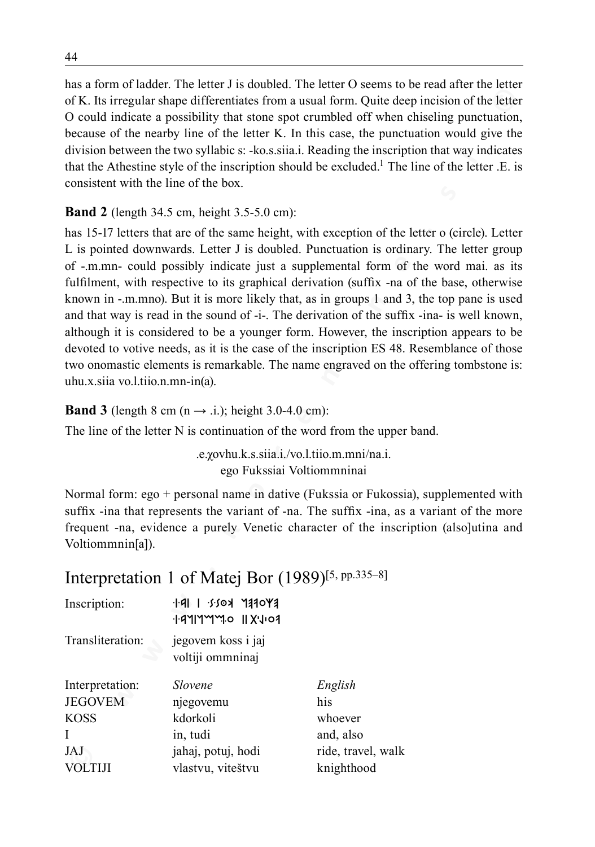has a form of ladder. The letter J is doubled. The letter O seems to be read after the letter of K. Its irregular shape differentiates from a usual form. Quite deep incision of the letter O could indicate a possibility that stone spot crumbled off when chiseling punctuation, because of the nearby line of the letter K. In this case, the punctuation would give the division between the two syllabic s: ‑ko.s.siia.i. Reading the inscription that way indicates that the Athestine style of the inscription should be excluded.<sup>1</sup> The line of the letter .E. is consistent with the line of the box.

**Band 2** (length 34.5 cm, height 3.5-5.0 cm):

**EC** Characteristic solution at usual form (put a deep incision of the letter<br>Co could indicate a possibility that stone spec currelled of twhen chiesting punctuation<br>of could include a possibility that stone spec curre has 15-17 letters that are of the same height, with exception of the letter o (circle). Letter L is pointed downwards. Letter J is doubled. Punctuation is ordinary. The letter group of ‑.m.mn‑ could possibly indicate just a supplemental form of the word mai. as its fulfilment, with respective to its graphical derivation (suffix -na of the base, otherwise known in ‑.m.mno). But it is more likely that, as in groups 1 and 3, the top pane is used and that way is read in the sound of -i-. The derivation of the suffix -ina- is well known, although it is considered to be a younger form. However, the inscription appears to be devoted to votive needs, as it is the case of the inscription ES 48. Resemblance of those two onomastic elements is remarkable. The name engraved on the offering tombstone is: uhu.x.siia vo.l.tiio.n.mn‑in(a).

**Band 3** (length 8 cm (n  $\rightarrow$  .i.); height 3.0-4.0 cm):

The line of the letter N is continuation of the word from the upper band.

.e.χovhu.k.s.siia.i./vo.l.tiio.m.mni/na.i. ego Fukssiai Voltiommninai

Normal form: ego + personal name in dative (Fukssia or Fukossia), supplemented with suffix -ina that represents the variant of -na. The suffix -ina, as a variant of the more frequent ‑na, evidence a purely Venetic character of the inscription (also]utina and Voltiommnin[a]).

## Interpretation 1 of Matej Bor (1989)[5, pp.335–8]

| Inscription:     | $19$   $130$   $130$<br>$H$ 41114440   X4104 |                    |
|------------------|----------------------------------------------|--------------------|
| Transliteration: | jegovem koss i jaj<br>voltiji ommninaj       |                    |
| Interpretation:  | Slovene                                      | English            |
| <b>JEGOVEM</b>   | njegovemu                                    | his                |
| <b>KOSS</b>      | kdorkoli                                     | whoever            |
| Ι                | in, tudi                                     | and, also          |
| JAJ              | jahaj, potuj, hodi                           | ride, travel, walk |
| <b>VOLTIJI</b>   | vlastvu, viteštvu                            | knighthood         |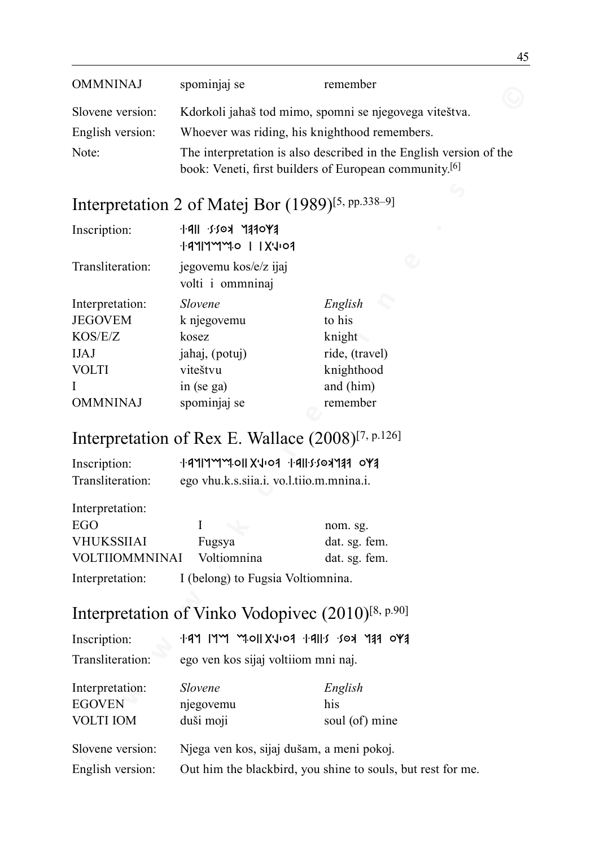| <b>OMMNINAJ</b>  | spominjaj se                                                       | remember                                                           |
|------------------|--------------------------------------------------------------------|--------------------------------------------------------------------|
| Slovene version: |                                                                    | Kdorkoli jahaš tod mimo, spomni se njegovega viteštva.             |
| English version: | Whoever was riding, his knighthood remembers.                      |                                                                    |
| Note:            | book: Veneti, first builders of European community. <sup>[6]</sup> | The interpretation is also described in the English version of the |

# Interpretation 2 of Matej Bor (1989)[5, pp.338–9]

| <b>UNINININAJ</b>     | $\frac{1}{2}$                                                                                                                            | <b>ICHICHIDEI</b>                                      |
|-----------------------|------------------------------------------------------------------------------------------------------------------------------------------|--------------------------------------------------------|
| Slovene version:      |                                                                                                                                          | Kdorkoli jahaš tod mimo, spomni se njegovega viteštva. |
| English version:      | Whoever was riding, his knighthood remembers.                                                                                            |                                                        |
| Note:                 | The interpretation is also described in the English version of the<br>book: Veneti, first builders of European community. <sup>[6]</sup> |                                                        |
|                       | Interpretation 2 of Matej Bor (1989) <sup>[5, pp.338-9]</sup>                                                                            |                                                        |
| Inscription:          | $1.911 \cdot 1.104$ 1310Y3<br>1.9111770   1X4101                                                                                         |                                                        |
| Transliteration:      | jegovemu kos/e/z ijaj<br>volti i ommninaj                                                                                                |                                                        |
| Interpretation:       | Slovene                                                                                                                                  | English                                                |
| <b>JEGOVEM</b>        | k njegovemu                                                                                                                              | to his                                                 |
| KOS/E/Z               | kosez                                                                                                                                    | knight                                                 |
| <b>IJAJ</b>           | jahaj, (potuj)                                                                                                                           | ride, (travel)                                         |
| <b>VOLTI</b>          | viteštvu                                                                                                                                 | knighthood                                             |
| I                     | in (se ga)                                                                                                                               | and (him)                                              |
| <b>OMMNINAJ</b>       | spominjaj se                                                                                                                             | remember                                               |
|                       | Interpretation of Rex E. Wallace (2008) <sup>[7, p.126]</sup>                                                                            |                                                        |
| Inscription:          | <b>PYO PRYKORRIPH POILY IIO.PYMYINH</b>                                                                                                  |                                                        |
| Transliteration:      | ego vhu.k.s.siia.i. vo.l.tiio.m.mnina.i.                                                                                                 |                                                        |
| Interpretation:       |                                                                                                                                          |                                                        |
| EGO                   | I                                                                                                                                        | nom. sg.                                               |
| <b>VHUKSSIIAI</b>     | Fugsya                                                                                                                                   | dat. sg. fem.                                          |
| <b>VOLTIIOMMNINAI</b> | Voltiomnina                                                                                                                              | dat. sg. fem.                                          |
| Interpretation:       | I (belong) to Fugsia Voltiomnina.                                                                                                        |                                                        |
|                       | Interpretation of Vinko Vodopivec (2010) <sup>[8, p.90]</sup>                                                                            |                                                        |
| Inscription:          | <b>AM INM MIGHT POILY IIOM MAN INGLE</b>                                                                                                 |                                                        |
| Transliteration:      | ego ven kos sijaj voltiiom mni naj.                                                                                                      |                                                        |
| Interpretation:       | Slovene                                                                                                                                  | English                                                |
| <b>EGOVEN</b>         | njegovemu                                                                                                                                | his                                                    |
| <b>VOLTI IOM</b>      | duši moji                                                                                                                                | soul (of) mine                                         |
| Slovene version:      | Njega ven kos, sijaj dušam, a meni pokoj.                                                                                                |                                                        |
| Enalich version:      | Out him the blockhird you ships to souls but rest for me                                                                                 |                                                        |

## Interpretation of Rex E. Wallace (2008)[7, p.126]

| Inscription:<br>Transliteration: | <b>PYO PRPKORTIPI POLYX IIO.PYPYIPI</b><br>ego vhu.k.s.siia.i. vo.l.tiio.m.mnina.i. |               |
|----------------------------------|-------------------------------------------------------------------------------------|---------------|
| Interpretation:                  |                                                                                     |               |
| EGO                              |                                                                                     | nom. sg.      |
| VHUKSSIIAI                       | Fugsya                                                                              | dat. sg. fem. |
| <b>VOLTIIOMMNINAI</b>            | Voltiomnina                                                                         | dat. sg. fem. |
| Interpretation:                  | I (belong) to Fugsia Voltiomnina.                                                   |               |

## Interpretation of Vinko Vodopivec (2010)[8, p.90]

| Inscription:     |                                                             |                |
|------------------|-------------------------------------------------------------|----------------|
| Transliteration: | ego ven kos sijaj voltijom mni naj.                         |                |
| Interpretation:  | Slovene                                                     | English        |
| <b>EGOVEN</b>    | njegovemu                                                   | his            |
| <b>VOLTI IOM</b> | duši moji                                                   | soul (of) mine |
| Slovene version: | Njega ven kos, sijaj dušam, a meni pokoj.                   |                |
| English version: | Out him the blackbird, you shine to souls, but rest for me. |                |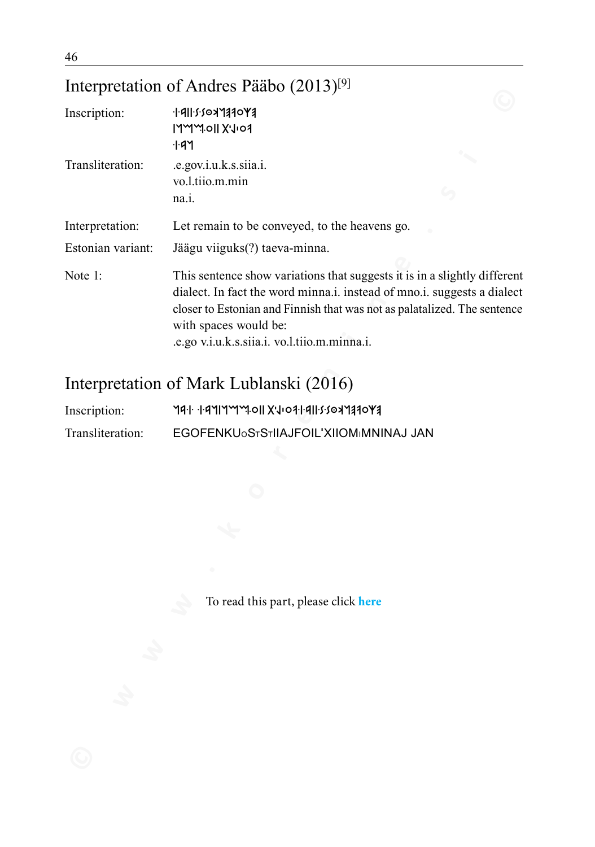# Interpretation of Andres Pääbo (2013)[9]

|                     | $\mu$ interpretation of Antres I aabo (2013).                                                                                                                                                                                                                                                             |
|---------------------|-----------------------------------------------------------------------------------------------------------------------------------------------------------------------------------------------------------------------------------------------------------------------------------------------------------|
| Inscription:        | 1.911.55011310Y3<br><b>MMM.0   X101</b><br>$+91$                                                                                                                                                                                                                                                          |
| Transliteration:    | .e.gov.i.u.k.s.siia.i.<br>vo.l.tiio.m.min<br>na.i.                                                                                                                                                                                                                                                        |
| Interpretation:     | Let remain to be conveyed, to the heavens go.                                                                                                                                                                                                                                                             |
| Estonian variant:   | Jäägu viiguks(?) taeva-minna.                                                                                                                                                                                                                                                                             |
| Note 1:             | This sentence show variations that suggests it is in a slightly different<br>dialect. In fact the word minna.i. instead of mno.i. suggests a dialect<br>closer to Estonian and Finnish that was not as palatalized. The sentence<br>with spaces would be:<br>.e.go v.i.u.k.s.siia.i. vo.l.tiio.m.minna.i. |
|                     | Interpretation of Mark Lublanski (2016)                                                                                                                                                                                                                                                                   |
| Inscription:        | 191 19111771011 XV1041-9113501139073                                                                                                                                                                                                                                                                      |
| Transliteration:    | EGOFENKUoSTSTIIAJFOIL'XIIOMIMNINAJ JAN                                                                                                                                                                                                                                                                    |
|                     |                                                                                                                                                                                                                                                                                                           |
|                     |                                                                                                                                                                                                                                                                                                           |
|                     |                                                                                                                                                                                                                                                                                                           |
|                     |                                                                                                                                                                                                                                                                                                           |
|                     | To read this part, please click here                                                                                                                                                                                                                                                                      |
|                     |                                                                                                                                                                                                                                                                                                           |
| $\hat{\mathcal{L}}$ |                                                                                                                                                                                                                                                                                                           |
| $\odot$             |                                                                                                                                                                                                                                                                                                           |

## Interpretation of Mark Lublanski (2016)

| Inscription:     | <b>APPERKOLLIAI-FOILX IIO.PYPYPIPI-I-APP</b> |
|------------------|----------------------------------------------|
| Transliteration: | EGOFENKUOSTSTIIAJFOIL'XIIOM(MNINAJ JAN       |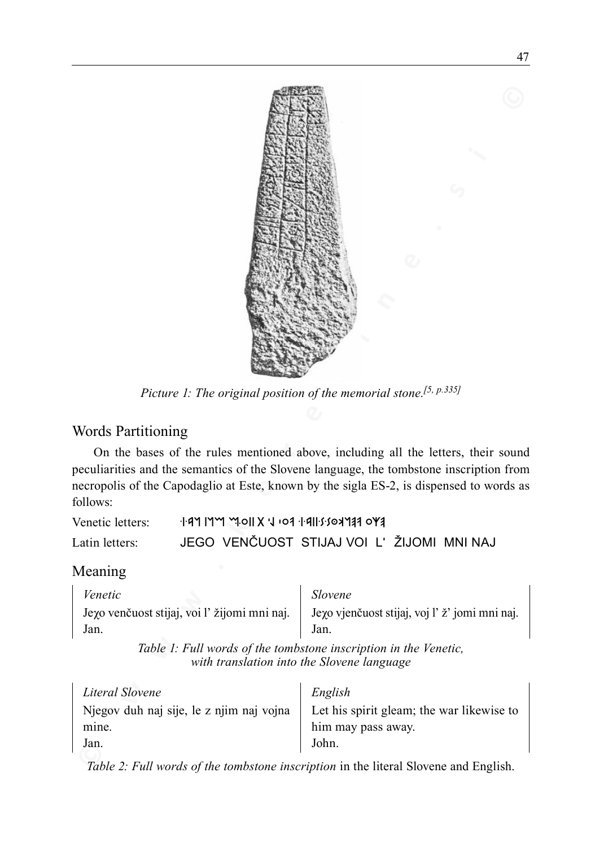

*Picture 1: The original position of the memorial stone.[5, p.335]*

### Words Partitioning

On the bases of the rules mentioned above, including all the letters, their sound peculiarities and the semantics of the Slovene language, the tombstone inscription from necropolis of the Capodaglio at Este, known by the sigla ES-2, is dispensed to words as follows:

| Venetic letters: | $P(Y \in \mathbb{R}^n)$ $P(Y \in \mathbb{R}^n)$ in the $P(Y \in \mathbb{R}^n)$ in the $P(Y \in \mathbb{R}^n)$ |
|------------------|---------------------------------------------------------------------------------------------------------------|
| Latin letters:   | JEGO VENČUOST STIJAJ VOI L'ŽIJOMI MNI NAJ                                                                     |

### Meaning

| Venetic                                                          | Slovene                                        |  |
|------------------------------------------------------------------|------------------------------------------------|--|
| Jezo venčuost stijaj, voi l' žijomi mni naj.                     | Jezo vjenčuost stijaj, voj l' ž' jomi mni naj. |  |
| Jan.                                                             | Jan.                                           |  |
| Table 1: Full words of the tombstone inscription in the Venetic, |                                                |  |
| with translation into the Slovene language                       |                                                |  |

| Literal Slovene                          | English                                   |
|------------------------------------------|-------------------------------------------|
| Njegov duh naj sije, le z njim naj vojna | Let his spirit gleam; the war likewise to |
| mine.                                    | him may pass away.                        |
| Jan.                                     | John.                                     |
|                                          |                                           |

*Table 2: Full words of the tombstone inscription* in the literal Slovene and English.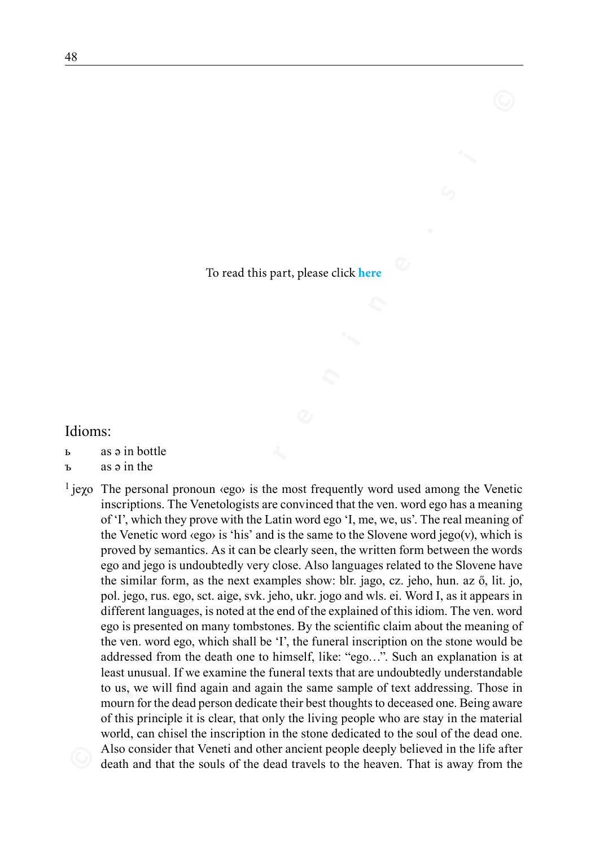To read this part, please click **[here](https://promin.si/trgovina/index.php?main_page=product_info&products_id=24)**

### Idioms:

ь as ə in bottle

#### ъ as ə in the

**Example 1.1** (To read this part, please click here<br> **C**  $\sim$  **W** and this part, please click here<br> **w** as a in bottle<br> **w** as a in bottle<br> **w** as a in the legger The Vertechoiges are convinced but the vert, word-good and  $<sup>1</sup>$  jeyo The personal pronoun  $\langle$ ego $\rangle$  is the most frequently word used among the Venetic</sup> inscriptions. The Venetologists are convinced that the ven. word ego has a meaning of 'I', which they prove with the Latin word ego 'I, me, we, us'. The real meaning of the Venetic word  $\langle$ ego $\rangle$  is 'his' and is the same to the Slovene word jego(v), which is proved by semantics. As it can be clearly seen, the written form between the words ego and jego is undoubtedly very close. Also languages related to the Slovene have the similar form, as the next examples show: blr. jago, cz. jeho, hun. az ő, lit. jo, pol. jego, rus. ego, sct. aige, svk. jeho, ukr. jogo and wls. ei. Word I, as it appears in different languages, is noted at the end of the explained of this idiom. The ven. word ego is presented on many tombstones. By the scientific claim about the meaning of the ven. word ego, which shall be 'I', the funeral inscription on the stone would be addressed from the death one to himself, like: "ego…". Such an explanation is at least unusual. If we examine the funeral texts that are undoubtedly understandable to us, we will find again and again the same sample of text addressing. Those in mourn for the dead person dedicate their best thoughts to deceased one. Being aware of this principle it is clear, that only the living people who are stay in the material world, can chisel the inscription in the stone dedicated to the soul of the dead one. Also consider that Veneti and other ancient people deeply believed in the life after death and that the souls of the dead travels to the heaven. That is away from the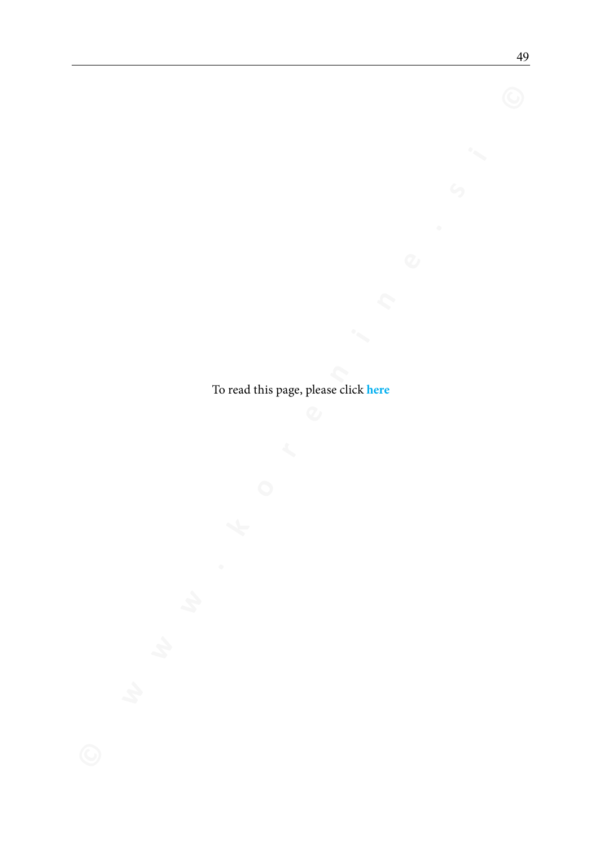**© w w w . k o r e n i n e . s i ©** To read this page, please click **[here](https://promin.si/trgovina/index.php?main_page=product_info&products_id=24)**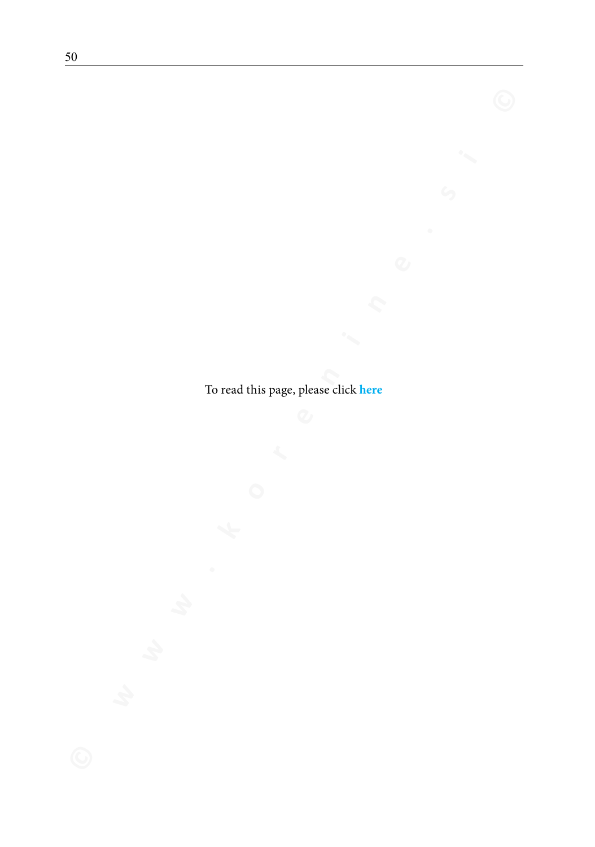**© w w w . k o r e n i n e . s i ©** To read this page, please click **[here](https://promin.si/trgovina/index.php?main_page=product_info&products_id=24)**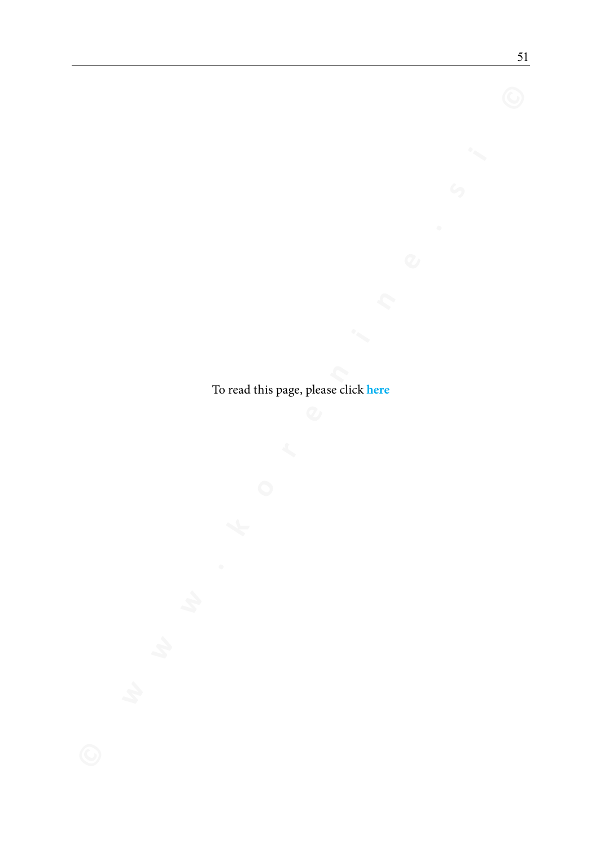**© w w w . k o r e n i n e . s i ©** To read this page, please click **[here](https://promin.si/trgovina/index.php?main_page=product_info&products_id=24)**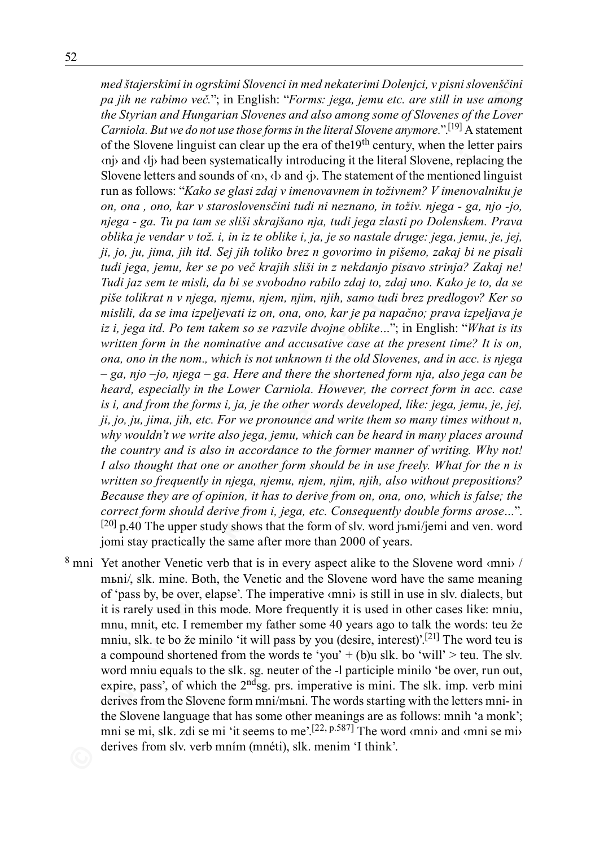pay the net pay the state of  $\mathbf{w}$  is the state of  $\mathbf{w}$  is the state of  $\mathbf{w}$  is the state of the state of the state of the state of the state of the state of the state of the state of the state of the state of t *med štajerskimi in ogrskimi Slovenci in med nekaterimi Dolenjci, v pisni slovenščini pa jih ne rabimo več.*"; in English: "*Forms: jega, jemu etc. are still in use among the Styrian and Hungarian Slovenes and also among some of Slovenes of the Lover Carniola. But we do not use those forms in the literal Slovene anymore.*".[19] A statement of the Slovene linguist can clear up the era of the 19<sup>th</sup> century, when the letter pairs ‹nj› and ‹lj› had been systematically introducing it the literal Slovene, replacing the Slovene letters and sounds of  $\langle n \rangle$ ,  $\langle n \rangle$  and  $\langle n \rangle$ . The statement of the mentioned linguist run as follows: "*Kako se glasi zdaj v imenovavnem in toživnem? V imenovalniku je on, ona , ono, kar v staroslovensčini tudi ni neznano, in toživ. njega - ga, njo -jo, njega - ga. Tu pa tam se sliši skrajšano nja, tudi jega zlasti po Dolenskem. Prava oblika je vendar v tož. i, in iz te oblike i, ja, je so nastale druge: jega, jemu, je, jej, ji, jo, ju, jima, jih itd. Sej jih toliko brez n govorimo in pišemo, zakaj bi ne pisali tudi jega, jemu, ker se po več krajih sliši in z nekdanjo pisavo strinja? Zakaj ne! Tudi jaz sem te misli, da bi se svobodno rabilo zdaj to, zdaj uno. Kako je to, da se piše tolikrat n v njega, njemu, njem, njim, njih, samo tudi brez predlogov? Ker so mislili, da se ima izpeljevati iz on, ona, ono, kar je pa napačno; prava izpeljava je iz i, jega itd. Po tem takem so se razvile dvojne oblike…*"; in English: "*What is its written form in the nominative and accusative case at the present time? It is on, ona, ono in the nom., which is not unknown ti the old Slovenes, and in acc. is njega – ga, njo –jo, njega – ga. Here and there the shortened form nja, also jega can be heard, especially in the Lower Carniola. However, the correct form in acc. case is i, and from the forms i, ja, je the other words developed, like: jega, jemu, je, jej, ji, jo, ju, jima, jih, etc. For we pronounce and write them so many times without n, why wouldn't we write also jega, jemu, which can be heard in many places around the country and is also in accordance to the former manner of writing. Why not! I also thought that one or another form should be in use freely. What for the n is written so frequently in njega, njemu, njem, njim, njih, also without prepositions? Because they are of opinion, it has to derive from on, ona, ono, which is false; the correct form should derive from i, jega, etc. Consequently double forms arose…*".  $[20]$  p.40 The upper study shows that the form of slv. word jъmi/jemi and ven. word jomi stay practically the same after more than 2000 of years.

8 mni Yet another Venetic verb that is in every aspect alike to the Slovene word ‹mni› / mьni/, slk. mine. Both, the Venetic and the Slovene word have the same meaning of 'pass by, be over, elapse'. The imperative ‹mni› is still in use in slv. dialects, but it is rarely used in this mode. More frequently it is used in other cases like: mniu, mnu, mnit, etc. I remember my father some 40 years ago to talk the words: teu že mniu, slk. te bo že minilo 'it will pass by you (desire, interest)'.<sup>[21]</sup> The word teu is a compound shortened from the words te 'you' + (b)u slk. bo 'will' > teu. The slv. word mniu equals to the slk. sg. neuter of the -l participle minilo 'be over, run out, expire, pass', of which the  $2<sup>nd</sup>$ sg. prs. imperative is mini. The slk. imp. verb mini derives from the Slovene form mni/mьni. The words starting with the letters mni- in the Slovene language that has some other meanings are as follows: mnìh 'a monk'; mni se mi, slk. zdi se mi 'it seems to me'.[22, p.587] The word ‹mni› and ‹mni se mi› derives from slv. verb mním (mnéti), slk. menim 'I think'.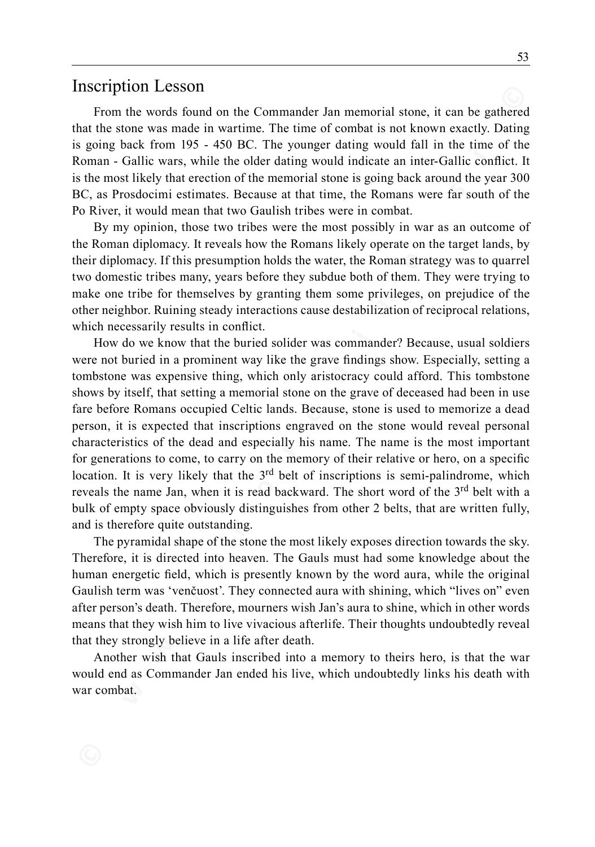### Inscription Lesson

From the words found on the Commander Jan memorial stone, it can be gathered that the stone was made in wartime. The time of combat is not known exactly. Dating is going back from 195 - 450 BC. The younger dating would fall in the time of the Roman - Gallic wars, while the older dating would indicate an inter-Gallic conflict. It is the most likely that erection of the memorial stone is going back around the year 300 BC, as Prosdocimi estimates. Because at that time, the Romans were far south of the Po River, it would mean that two Gaulish tribes were in combat.

By my opinion, those two tribes were the most possibly in war as an outcome of the Roman diplomacy. It reveals how the Romans likely operate on the target lands, by their diplomacy. If this presumption holds the water, the Roman strategy was to quarrel two domestic tribes many, years before they subdue both of them. They were trying to make one tribe for themselves by granting them some privileges, on prejudice of the other neighbor. Ruining steady interactions cause destabilization of reciprocal relations, which necessarily results in conflict.

**ESC (PIOUT) LESSOI C**<br>**ENCIPY (DESCON) ENCIPY (EVALUAT COND ENCIPY (EVALUAT COND ENCIPY (EVALUAT COND ENCIPY (EVALUAT COND ENCIPY (EVALUAT COND ENCIPY (EVALUAT COND COND ENCIPY (ACT TO** *S* **- 450 RC. The** How do we know that the buried solider was commander? Because, usual soldiers were not buried in a prominent way like the grave findings show. Especially, setting a tombstone was expensive thing, which only aristocracy could afford. This tombstone shows by itself, that setting a memorial stone on the grave of deceased had been in use fare before Romans occupied Celtic lands. Because, stone is used to memorize a dead person, it is expected that inscriptions engraved on the stone would reveal personal characteristics of the dead and especially his name. The name is the most important for generations to come, to carry on the memory of their relative or hero, on a specific location. It is very likely that the 3<sup>rd</sup> belt of inscriptions is semi-palindrome, which reveals the name Jan, when it is read backward. The short word of the 3<sup>rd</sup> belt with a bulk of empty space obviously distinguishes from other 2 belts, that are written fully, and is therefore quite outstanding.

The pyramidal shape of the stone the most likely exposes direction towards the sky. Therefore, it is directed into heaven. The Gauls must had some knowledge about the human energetic field, which is presently known by the word aura, while the original Gaulish term was 'venčuost'. They connected aura with shining, which "lives on" even after person's death. Therefore, mourners wish Jan's aura to shine, which in other words means that they wish him to live vivacious afterlife. Their thoughts undoubtedly reveal that they strongly believe in a life after death.

Another wish that Gauls inscribed into a memory to theirs hero, is that the war would end as Commander Jan ended his live, which undoubtedly links his death with war combat.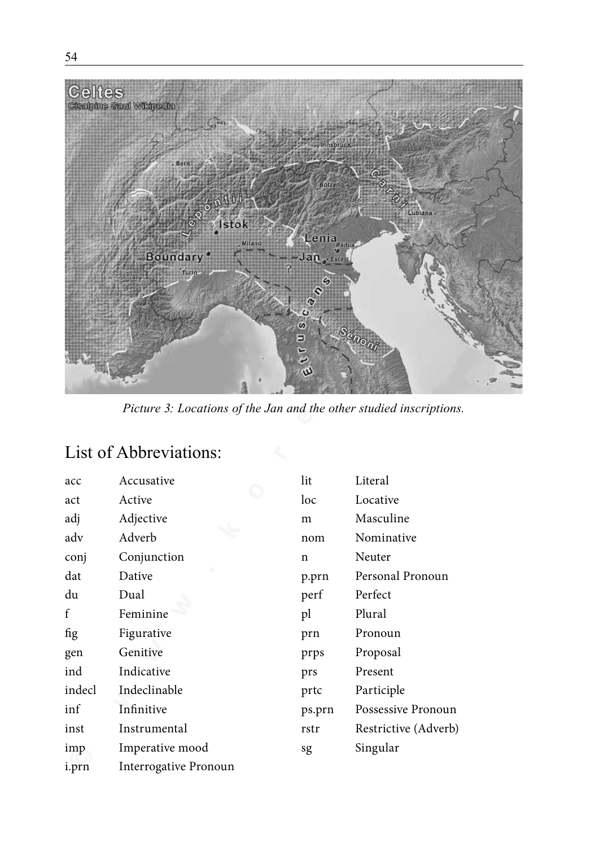

*Picture 3: Locations of the Jan and the other studied inscriptions.*

## List of Abbreviations:

| acc          | Accusative            | lit    | Literal              |
|--------------|-----------------------|--------|----------------------|
| act          | Active                | loc    | Locative             |
| adj          | Adjective             | m      | Masculine            |
| adv          | Adverb                | nom    | Nominative           |
| conj         | Conjunction           | n      | Neuter               |
| dat          | Dative                | p.prn  | Personal Pronoun     |
| du           | Dual                  | perf   | Perfect              |
| f            | Feminine              | pl     | Plural               |
| fig          | Figurative            | prn    | Pronoun              |
| gen          | Genitive              | prps   | Proposal             |
| ind          | Indicative            | prs    | Present              |
| indecl       | Indeclinable          | prtc   | Participle           |
| inf          | Infinitive            | ps.prn | Possessive Pronoun   |
| inst         | Instrumental          | rstr   | Restrictive (Adverb) |
| imp          | Imperative mood       | sg     | Singular             |
| <i>i.prn</i> | Interrogative Pronoun |        |                      |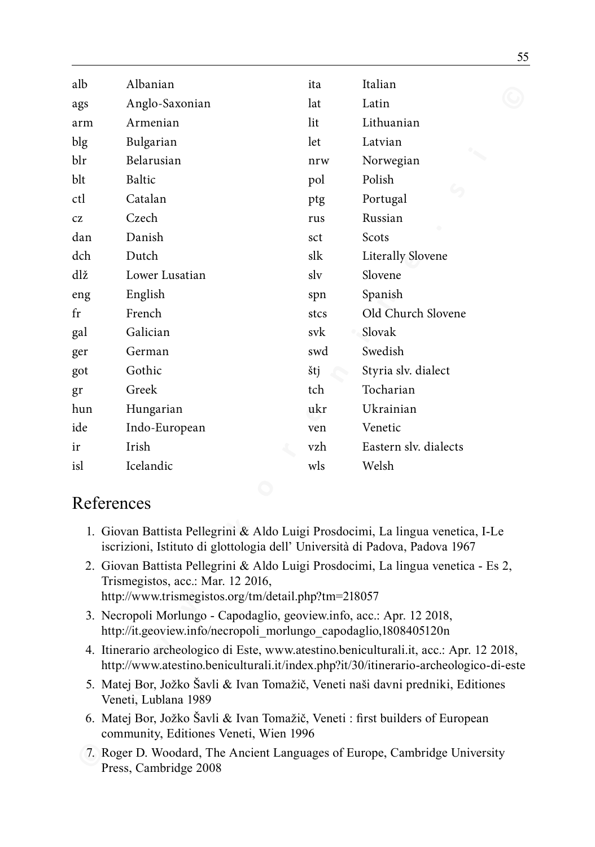| alb                                                                                                                                                                           | Albanian                                                                                                                                                                       | ita                | Italian                  |  |  |  |
|-------------------------------------------------------------------------------------------------------------------------------------------------------------------------------|--------------------------------------------------------------------------------------------------------------------------------------------------------------------------------|--------------------|--------------------------|--|--|--|
| ags                                                                                                                                                                           | Anglo-Saxonian                                                                                                                                                                 | lat                | Latin                    |  |  |  |
| arm                                                                                                                                                                           | Armenian                                                                                                                                                                       | lit                | Lithuanian               |  |  |  |
| blg                                                                                                                                                                           | Bulgarian                                                                                                                                                                      | let                | Latvian                  |  |  |  |
| blr                                                                                                                                                                           | Belarusian                                                                                                                                                                     | nrw                | Norwegian                |  |  |  |
| blt                                                                                                                                                                           | Baltic                                                                                                                                                                         | pol                | Polish                   |  |  |  |
| ctl                                                                                                                                                                           | Catalan                                                                                                                                                                        | ptg                | S)<br>Portugal           |  |  |  |
| CZ                                                                                                                                                                            | Czech                                                                                                                                                                          | rus                | Russian                  |  |  |  |
| dan                                                                                                                                                                           | Danish                                                                                                                                                                         | sct                | Scots                    |  |  |  |
| dch                                                                                                                                                                           | Dutch                                                                                                                                                                          | slk                | <b>Literally Slovene</b> |  |  |  |
| dlž                                                                                                                                                                           | Lower Lusatian                                                                                                                                                                 | slv                | Slovene                  |  |  |  |
| eng                                                                                                                                                                           | English                                                                                                                                                                        | spn                | Spanish                  |  |  |  |
| fr                                                                                                                                                                            | French                                                                                                                                                                         | stcs               | Old Church Slovene       |  |  |  |
| gal                                                                                                                                                                           | Galician                                                                                                                                                                       | svk<br>$\bullet$ . | Slovak                   |  |  |  |
| ger                                                                                                                                                                           | German                                                                                                                                                                         | swd                | Swedish                  |  |  |  |
| got                                                                                                                                                                           | Gothic                                                                                                                                                                         | štj                | Styria slv. dialect      |  |  |  |
| gr                                                                                                                                                                            | Greek                                                                                                                                                                          | tch                | Tocharian                |  |  |  |
| hun                                                                                                                                                                           | Hungarian                                                                                                                                                                      | ukr                | Ukrainian                |  |  |  |
| ide                                                                                                                                                                           | Indo-European                                                                                                                                                                  | ven                | Venetic                  |  |  |  |
| ir                                                                                                                                                                            | Irish                                                                                                                                                                          | vzh                | Eastern slv. dialects    |  |  |  |
| isl                                                                                                                                                                           | Icelandic                                                                                                                                                                      | wls                | Welsh                    |  |  |  |
| References                                                                                                                                                                    |                                                                                                                                                                                |                    |                          |  |  |  |
| 1. Giovan Battista Pellegrini & Aldo Luigi Prosdocimi, La lingua venetica, I-Le<br>iscrizioni, Istituto di glottologia dell' Università di Padova, Padova 1967                |                                                                                                                                                                                |                    |                          |  |  |  |
| 2. Giovan Battista Pellegrini & Aldo Luigi Prosdocimi, La lingua venetica - Es 2,<br>Trismegistos, acc.: Mar. 12 2016,<br>http://www.trismegistos.org/tm/detail.php?tm=218057 |                                                                                                                                                                                |                    |                          |  |  |  |
|                                                                                                                                                                               | 3. Necropoli Morlungo - Capodaglio, geoview.info, acc.: Apr. 12 2018,<br>http://it.geoview.info/necropoli_morlungo_capodaglio,1808405120n                                      |                    |                          |  |  |  |
|                                                                                                                                                                               | 4. Itinerario archeologico di Este, www.atestino.beniculturali.it, acc.: Apr. 12 2018,<br>http://www.atestino.beniculturali.it/index.php?it/30/itinerario-archeologico-di-este |                    |                          |  |  |  |
|                                                                                                                                                                               | 5. Matej Bor, Jožko Šavli & Ivan Tomažič, Veneti naši davni predniki, Editiones<br>Veneti, Lublana 1989                                                                        |                    |                          |  |  |  |
|                                                                                                                                                                               | 6. Matej Bor, Jožko Šavli & Ivan Tomažič, Veneti : first builders of European<br>community, Editiones Veneti, Wien 1996                                                        |                    |                          |  |  |  |
|                                                                                                                                                                               | 7. Roger D. Woodard, The Ancient Languages of Europe, Cambridge University<br>$p_{\text{reco}}$ Cambridge $2008$                                                               |                    |                          |  |  |  |

## References

- 1. Giovan Battista Pellegrini & Aldo Luigi Prosdocimi, La lingua venetica, I-Le iscrizioni, Istituto di glottologia dell' Università di Padova, Padova 1967
- 2. Giovan Battista Pellegrini & Aldo Luigi Prosdocimi, La lingua venetica Es 2, Trismegistos, acc.: Mar. 12 2016, http://www.trismegistos.org/tm/detail.php?tm=218057
- 3. Necropoli Morlungo Capodaglio, geoview.info, acc.: Apr. 12 2018, http://it.geoview.info/necropoli\_morlungo\_capodaglio,1808405120n
- 4. Itinerario archeologico di Este, www.atestino.beniculturali.it, acc.: Apr. 12 2018, http://www.atestino.beniculturali.it/index.php?it/30/itinerario-archeologico-di-este
- 5. Matej Bor, Jožko Šavli & Ivan Tomažič, Veneti naši davni predniki, Editiones Veneti, Lublana 1989
- 6. Matej Bor, Jožko Šavli & Ivan Tomažič, Veneti : first builders of European community, Editiones Veneti, Wien 1996
- 7. Roger D. Woodard, The Ancient Languages of Europe, Cambridge University Press, Cambridge 2008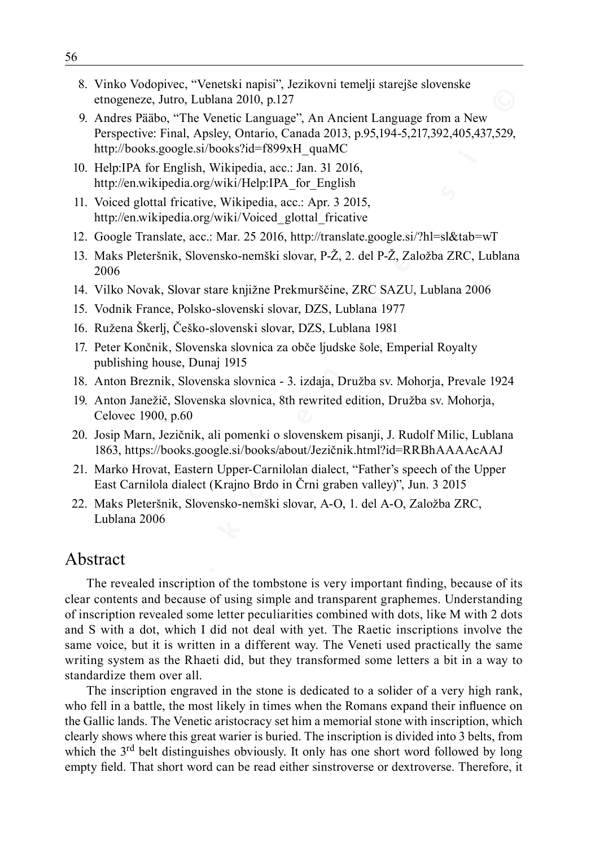- 8. Vinko Vodopivec, "Venetski napisi", Jezikovni temelji starejše slovenske etnogeneze, Jutro, Lublana 2010, p.127
- 9. Andres Pääbo, "The Venetic Language", An Ancient Language from a New Perspective: Final, Apsley, Ontario, Canada 2013, p.95,194-5,217,392,405,437,529, http://books.google.si/books?id=f899xH\_quaMC
- 10. Help:IPA for English, Wikipedia, acc.: Jan. 31 2016, http://en.wikipedia.org/wiki/Help:IPA\_for\_English
- 11. Voiced glottal fricative, Wikipedia, acc.: Apr. 3 2015, http://en.wikipedia.org/wiki/Voiced\_glottal\_fricative
- 12. Google Translate, acc.: Mar. 25 2016, http://translate.google.si/?hl=sl&tab=wT
- 13. Maks Pleteršnik, Slovensko-nemški slovar, P-Ž, 2. del P-Ž, Založba ZRC, Lublana 2006
- 14. Vilko Novak, Slovar stare knjižne Prekmurščine, ZRC SAZU, Lublana 2006
- 15. Vodnik France, Polsko-slovenski slovar, DZS, Lublana 1977
- 16. Ružena Škerlj, Češko-slovenski slovar, DZS, Lublana 1981
- 17. Peter Končnik, Slovenska slovnica za obče ljudske šole, Emperial Royalty publishing house, Dunaj 1915
- 18. Anton Breznik, Slovenska slovnica 3. izdaja, Družba sv. Mohorja, Prevale 1924
- 19. Anton Janežič, Slovenska slovnica, 8th rewrited edition, Družba sv. Mohorja, Celovec 1900, p.60
- 20. Josip Marn, Jezičnik, ali pomenki o slovenskem pisanji, J. Rudolf Milic, Lublana 1863, https://books.google.si/books/about/Jezičnik.html?id=RRBhAAAAcAAJ
- 21. Marko Hrovat, Eastern Upper-Carnilolan dialect, "Father's speech of the Upper East Carnilola dialect (Krajno Brdo in Črni graben valley)", Jun. 3 2015
- 22. Maks Pleteršnik, Slovensko-nemški slovar, A-O, 1. del A-O, Založba ZRC, Lublana 2006

### Abstract

externate and the space of the term is a space of  $\theta$  and  $\theta$  is a bottom of the state of the space of  $\theta$  and  $\theta$  is a model of the state of the state of the state of the state of the state of the state of the proposi The revealed inscription of the tombstone is very important finding, because of its clear contents and because of using simple and transparent graphemes. Understanding of inscription revealed some letter peculiarities combined with dots, like M with 2 dots and S with a dot, which I did not deal with yet. The Raetic inscriptions involve the same voice, but it is written in a different way. The Veneti used practically the same writing system as the Rhaeti did, but they transformed some letters a bit in a way to standardize them over all.

The inscription engraved in the stone is dedicated to a solider of a very high rank, who fell in a battle, the most likely in times when the Romans expand their influence on the Gallic lands. The Venetic aristocracy set him a memorial stone with inscription, which clearly shows where this great warier is buried. The inscription is divided into 3 belts, from which the  $3<sup>rd</sup>$  belt distinguishes obviously. It only has one short word followed by long empty field. That short word can be read either sinstroverse or dextroverse. Therefore, it